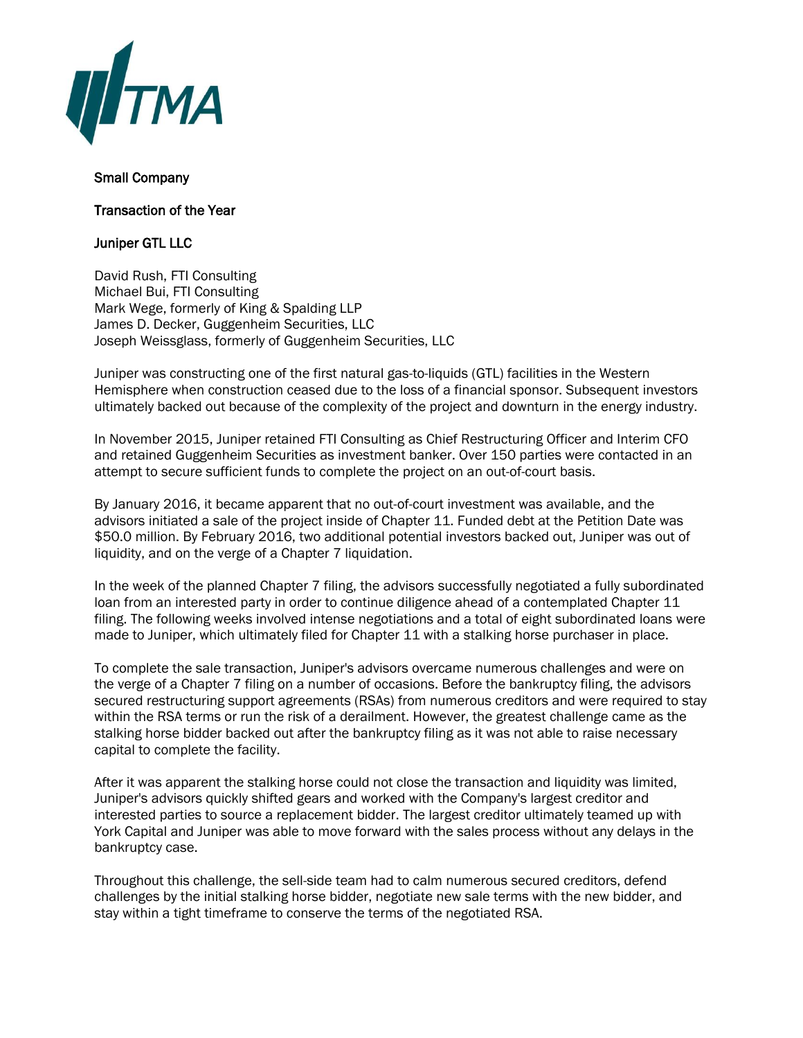

## Small Company

Transaction of the Year

## Juniper GTL LLC

David Rush, FTI Consulting Michael Bui, FTI Consulting Mark Wege, formerly of King & Spalding LLP James D. Decker, Guggenheim Securities, LLC Joseph Weissglass, formerly of Guggenheim Securities, LLC

Juniper was constructing one of the first natural gas-to-liquids (GTL) facilities in the Western Hemisphere when construction ceased due to the loss of a financial sponsor. Subsequent investors ultimately backed out because of the complexity of the project and downturn in the energy industry.

In November 2015, Juniper retained FTI Consulting as Chief Restructuring Officer and Interim CFO and retained Guggenheim Securities as investment banker. Over 150 parties were contacted in an attempt to secure sufficient funds to complete the project on an out-of-court basis.

By January 2016, it became apparent that no out-of-court investment was available, and the advisors initiated a sale of the project inside of Chapter 11. Funded debt at the Petition Date was \$50.0 million. By February 2016, two additional potential investors backed out, Juniper was out of liquidity, and on the verge of a Chapter 7 liquidation.

In the week of the planned Chapter 7 filing, the advisors successfully negotiated a fully subordinated loan from an interested party in order to continue diligence ahead of a contemplated Chapter 11 filing. The following weeks involved intense negotiations and a total of eight subordinated loans were made to Juniper, which ultimately filed for Chapter 11 with a stalking horse purchaser in place.

To complete the sale transaction, Juniper's advisors overcame numerous challenges and were on the verge of a Chapter 7 filing on a number of occasions. Before the bankruptcy filing, the advisors secured restructuring support agreements (RSAs) from numerous creditors and were required to stay within the RSA terms or run the risk of a derailment. However, the greatest challenge came as the stalking horse bidder backed out after the bankruptcy filing as it was not able to raise necessary capital to complete the facility.

After it was apparent the stalking horse could not close the transaction and liquidity was limited, Juniper's advisors quickly shifted gears and worked with the Company's largest creditor and interested parties to source a replacement bidder. The largest creditor ultimately teamed up with York Capital and Juniper was able to move forward with the sales process without any delays in the bankruptcy case.

Throughout this challenge, the sell-side team had to calm numerous secured creditors, defend challenges by the initial stalking horse bidder, negotiate new sale terms with the new bidder, and stay within a tight timeframe to conserve the terms of the negotiated RSA.